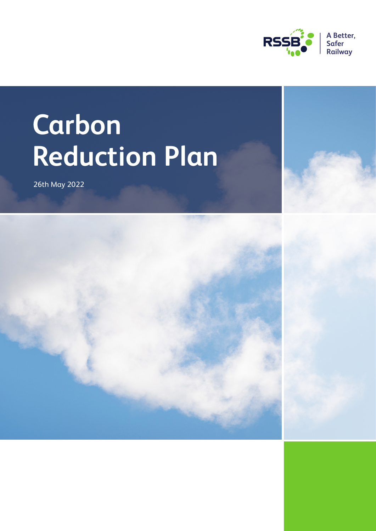

# **Carbon Reduction Plan**

26th May 2022

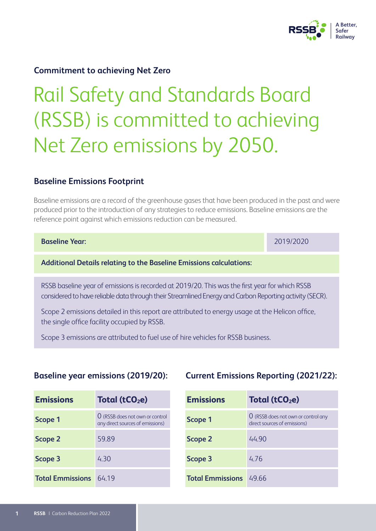

### **Commitment to achieving Net Zero**

# Rail Safety and Standards Board (RSSB) is committed to achieving Net Zero emissions by 2050.

#### **Baseline Emissions Footprint**

Baseline emissions are a record of the greenhouse gases that have been produced in the past and were produced prior to the introduction of any strategies to reduce emissions. Baseline emissions are the reference point against which emissions reduction can be measured.

| <b>Baseline Year:</b>                                                                                                                                                                                     | 2019/2020 |
|-----------------------------------------------------------------------------------------------------------------------------------------------------------------------------------------------------------|-----------|
| <b>Additional Details relating to the Baseline Emissions calculations:</b>                                                                                                                                |           |
| RSSB baseline year of emissions is recorded at 2019/20. This was the first year for which RSSB<br>considered to have reliable data through their Streamlined Energy and Carbon Reporting activity (SECR). |           |

Scope 2 emissions detailed in this report are attributed to energy usage at the Helicon office, the single office facility occupied by RSSB.

Scope 3 emissions are attributed to fuel use of hire vehicles for RSSB business.

#### **Baseline year emissions (2019/20):**

| <b>Emissions</b>        | Total (tCO <sub>2</sub> e)                                                       |
|-------------------------|----------------------------------------------------------------------------------|
| Scope 1                 | $\overline{0}$ (RSSB does not own or control<br>any direct sources of emissions) |
| <b>Scope 2</b>          | 59.89                                                                            |
| Scope 3                 | 4.30                                                                             |
| <b>Total Emmissions</b> | 64 19                                                                            |

### **Current Emissions Reporting (2021/22):**

| <b>Emissions</b>              | Total (tCO <sub>2</sub> e)                                                 |
|-------------------------------|----------------------------------------------------------------------------|
| <b>Scope 1</b>                | <b>O</b> (RSSB does not own or control any<br>direct sources of emissions) |
| <b>Scope 2</b>                | 44.90                                                                      |
| Scope 3                       | 4.76                                                                       |
| <b>Total Emmissions</b> 49.66 |                                                                            |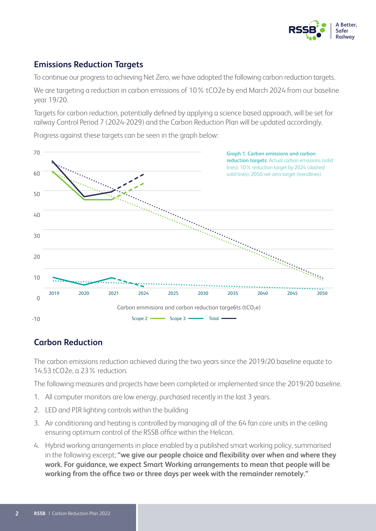

# **Emissions Reduction Targets**

To continue our progress to achieving Net Zero, we have adopted the following carbon reduction targets.

We are targeting a reduction in carbon emissions of 10% tCO2e by end March 2024 from our baseline year 19/20.

Targets for carbon reduction, potentially defined by applying a science based approach, will be set for railway Control Period 7 (2024-2029) and the Carbon Reduction Plan will be updated accordingly.



Progress against these targets can be seen in the graph below:

# **Carbon Reduction**

The carbon emissions reduction achieved during the two years since the 2019/20 baseline equate to 14.53 tCO2e, a 23% reduction.

The following measures and projects have been completed or implemented since the 2019/20 baseline.

- 1. All computer monitors are low energy, purchased recently in the last 3 years.
- 2. LED and PIR lighting controls within the building
- 3. Air conditioning and heating is controlled by managing all of the 64 fan core units in the ceiling ensuring optimum control of the RSSB office within the Helicon.
- 4. Hybrid working arrangements in place enabled by a published smart working policy, summarised in the following excerpt; **"we give our people choice and flexibility over when and where they work. For guidance, we expect Smart Working arrangements to mean that people will be working from the office two or three days per week with the remainder remotely."**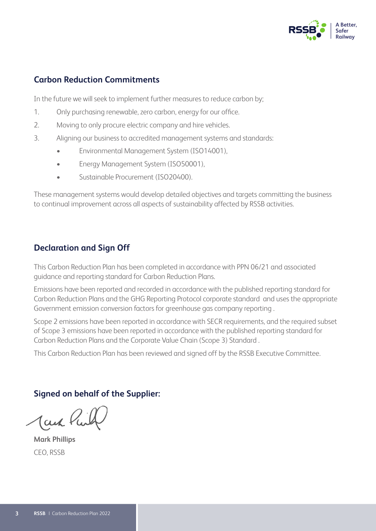

# **Carbon Reduction Commitments**

In the future we will seek to implement further measures to reduce carbon by;

- 1. Only purchasing renewable, zero carbon, energy for our office.
- 2. Moving to only procure electric company and hire vehicles.
- 3. Aligning our business to accredited management systems and standards:
	- Environmental Management System (ISO14001),
	- Energy Management System (ISO50001),
	- Sustainable Procurement (ISO20400).

These management systems would develop detailed objectives and targets committing the business to continual improvement across all aspects of sustainability affected by RSSB activities.

## **Declaration and Sign Off**

This Carbon Reduction Plan has been completed in accordance with PPN 06/21 and associated guidance and reporting standard for Carbon Reduction Plans.

Emissions have been reported and recorded in accordance with the published reporting standard for Carbon Reduction Plans and the GHG Reporting Protocol corporate standard and uses the appropriate Government emission conversion factors for greenhouse gas company reporting .

Scope 2 emissions have been reported in accordance with SECR requirements, and the required subset of Scope 3 emissions have been reported in accordance with the published reporting standard for Carbon Reduction Plans and the Corporate Value Chain (Scope 3) Standard .

This Carbon Reduction Plan has been reviewed and signed off by the RSSB Executive Committee.

# **Signed on behalf of the Supplier:**

Jack K

**Mark Phillips** CEO, RSSB